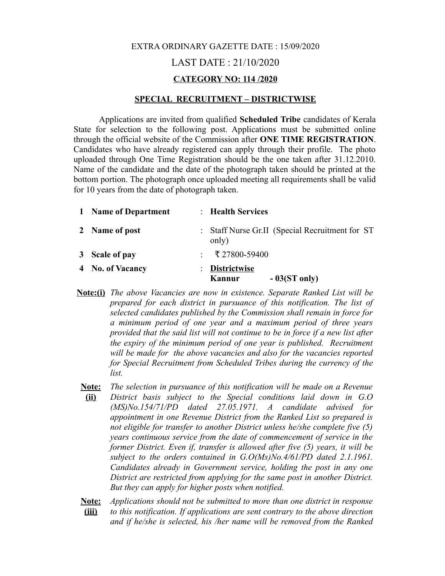# EXTRA ORDINARY GAZETTE DATE : 15/09/2020 LAST DATE : 21/10/2020 **CATEGORY NO: 114 /2020**

#### **SPECIAL RECRUITMENT – DISTRICTWISE**

Applications are invited from qualified **Scheduled Tribe** candidates of Kerala State for selection to the following post. Applications must be submitted online through the official website of the Commission after **ONE TIME REGISTRATION**. Candidates who have already registered can apply through their profile. The photo uploaded through One Time Registration should be the one taken after 31.12.2010. Name of the candidate and the date of the photograph taken should be printed at the bottom portion. The photograph once uploaded meeting all requirements shall be valid for 10 years from the date of photograph taken.

| 1 Name of Department | : Health Services                                        |
|----------------------|----------------------------------------------------------|
| 2 Name of post       | : Staff Nurse Gr.II (Special Recruitment for ST<br>only) |
| 3 Scale of pay       | $\div$ ₹ 27800-59400                                     |
| 4 No. of Vacancy     | : Districtwise<br>$-03(ST \text{ only})$<br>Kannur       |

- **Note:(i)** *The above Vacancies are now in existence. Separate Ranked List will be prepared for each district in pursuance of this notification. The list of selected candidates published by the Commission shall remain in force for a minimum period of one year and a maximum period of three years provided that the said list will not continue to be in force if a new list after the expiry of the minimum period of one year is published. Recruitment will be made for the above vacancies and also for the vacancies reported for Special Recruitment from Scheduled Tribes during the currency of the list.*
- **Note: (ii)** *The selection in pursuance of this notification will be made on a Revenue District basis subject to the Special conditions laid down in G.O (MS)No.154/71/PD dated 27.05.1971. A candidate advised for appointment in one Revenue District from the Ranked List so prepared is not eligible for transfer to another District unless he/she complete five (5) years continuous service from the date of commencement of service in the former District. Even if, transfer is allowed after five (5) years, it will be subject to the orders contained in G.O(Ms)No.4/61/PD dated 2.1.1961. Candidates already in Government service, holding the post in any one District are restricted from applying for the same post in another District. But they can apply for higher posts when notified.*
- **Note: (iii)** *Applications should not be submitted to more than one district in response to this notification. If applications are sent contrary to the above direction and if he/she is selected, his /her name will be removed from the Ranked*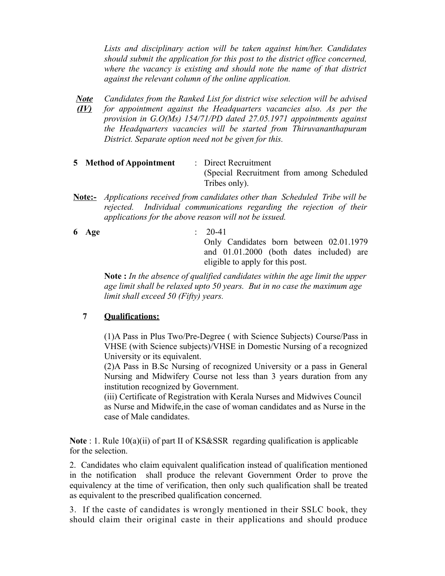*Lists and disciplinary action will be taken against him/her. Candidates should submit the application for this post to the district office concerned, where the vacancy is existing and should note the name of that district against the relevant column of the online application.*

- *Note Candidates from the Ranked List for district wise selection will be advised (IV) for appointment against the Headquarters vacancies also. As per the provision in G.O(Ms) 154/71/PD dated 27.05.1971 appointments against the Headquarters vacancies will be started from Thiruvananthapuram District. Separate option need not be given for this.*
- **5 Method of Appointment** : Direct Recruitment (Special Recruitment from among Scheduled Tribes only).
- **Note:-** *Applications received from candidates other than Scheduled Tribe will be rejected. Individual communications regarding the rejection of their applications for the above reason will not be issued.*
- **6 Age** : 20-41 Only Candidates born between 02.01.1979 and 01.01.2000 (both dates included) are eligible to apply for this post.

**Note :** *In the absence of qualified candidates within the age limit the upper age limit shall be relaxed upto 50 years. But in no case the maximum age limit shall exceed 50 (Fifty) years.*

#### **7 Qualifications:**

(1)A Pass in Plus Two/Pre-Degree ( with Science Subjects) Course/Pass in VHSE (with Science subjects)/VHSE in Domestic Nursing of a recognized University or its equivalent.

(2)A Pass in B.Sc Nursing of recognized University or a pass in General Nursing and Midwifery Course not less than 3 years duration from any institution recognized by Government.

(iii) Certificate of Registration with Kerala Nurses and Midwives Council as Nurse and Midwife,in the case of woman candidates and as Nurse in the case of Male candidates.

**Note** : 1. Rule 10(a)(ii) of part II of KS&SSR regarding qualification is applicable for the selection.

2. Candidates who claim equivalent qualification instead of qualification mentioned in the notification shall produce the relevant Government Order to prove the equivalency at the time of verification, then only such qualification shall be treated as equivalent to the prescribed qualification concerned.

3. If the caste of candidates is wrongly mentioned in their SSLC book, they should claim their original caste in their applications and should produce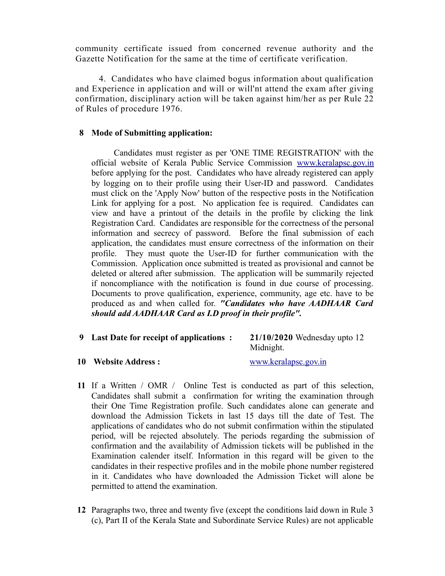community certificate issued from concerned revenue authority and the Gazette Notification for the same at the time of certificate verification.

 4. Candidates who have claimed bogus information about qualification and Experience in application and will or will'nt attend the exam after giving confirmation, disciplinary action will be taken against him/her as per Rule 22 of Rules of procedure 1976.

### **8 Mode of Submitting application:**

 Candidates must register as per 'ONE TIME REGISTRATION' with the official website of Kerala Public Service Commission [www.keralapsc.gov.in](http://www.keralapsc.gov.in/) before applying for the post. Candidates who have already registered can apply by logging on to their profile using their User-ID and password. Candidates must click on the 'Apply Now' button of the respective posts in the Notification Link for applying for a post. No application fee is required. Candidates can view and have a printout of the details in the profile by clicking the link Registration Card. Candidates are responsible for the correctness of the personal information and secrecy of password. Before the final submission of each application, the candidates must ensure correctness of the information on their profile. They must quote the User-ID for further communication with the Commission. Application once submitted is treated as provisional and cannot be deleted or altered after submission. The application will be summarily rejected if noncompliance with the notification is found in due course of processing. Documents to prove qualification, experience, community, age etc. have to be produced as and when called for. *"Candidates who have AADHAAR Card should add AADHAAR Card as I.D proof in their profile".* 

# **9 Last Date for receipt of applications : 21/10/2020** Wednesday upto 12 Midnight.

**10 Website Address :** [www.keralapsc.gov.in](http://www.keralapsc.gov.in/)

- **11** If a Written / OMR / Online Test is conducted as part of this selection, Candidates shall submit a confirmation for writing the examination through their One Time Registration profile. Such candidates alone can generate and download the Admission Tickets in last 15 days till the date of Test. The applications of candidates who do not submit confirmation within the stipulated period, will be rejected absolutely. The periods regarding the submission of confirmation and the availability of Admission tickets will be published in the Examination calender itself. Information in this regard will be given to the candidates in their respective profiles and in the mobile phone number registered in it. Candidates who have downloaded the Admission Ticket will alone be permitted to attend the examination.
- **12** Paragraphs two, three and twenty five (except the conditions laid down in Rule 3 (c), Part II of the Kerala State and Subordinate Service Rules) are not applicable